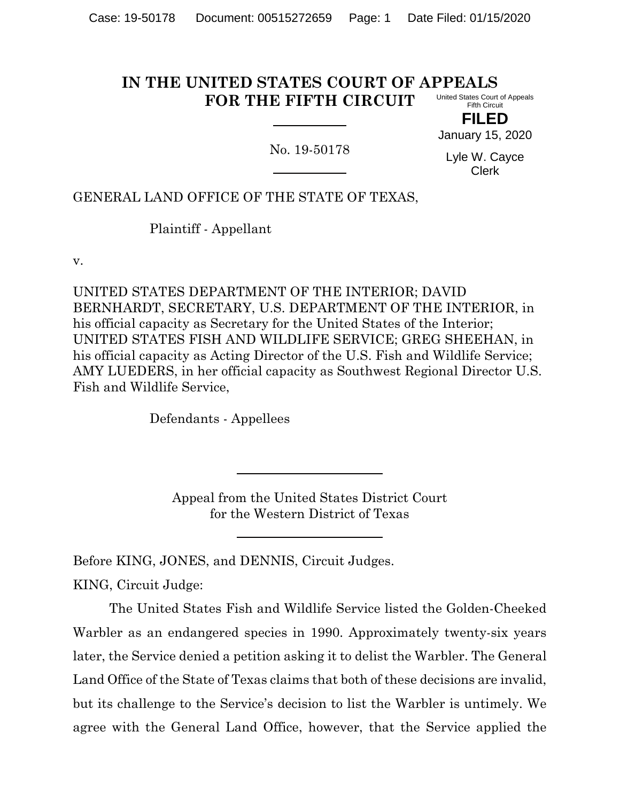#### **IN THE UNITED STATES COURT OF APPEALS FOR THE FIFTH CIRCUIT** United States Court of Appeals Fifth Circuit

**FILED** January 15, 2020

No. 19-50178

Lyle W. Cayce Clerk

# GENERAL LAND OFFICE OF THE STATE OF TEXAS,

Plaintiff - Appellant

v.

UNITED STATES DEPARTMENT OF THE INTERIOR; DAVID BERNHARDT, SECRETARY, U.S. DEPARTMENT OF THE INTERIOR, in his official capacity as Secretary for the United States of the Interior; UNITED STATES FISH AND WILDLIFE SERVICE; GREG SHEEHAN, in his official capacity as Acting Director of the U.S. Fish and Wildlife Service; AMY LUEDERS, in her official capacity as Southwest Regional Director U.S. Fish and Wildlife Service,

Defendants - Appellees

Appeal from the United States District Court for the Western District of Texas

Before KING, JONES, and DENNIS, Circuit Judges.

KING, Circuit Judge:

The United States Fish and Wildlife Service listed the Golden-Cheeked Warbler as an endangered species in 1990. Approximately twenty-six years later, the Service denied a petition asking it to delist the Warbler. The General Land Office of the State of Texas claims that both of these decisions are invalid, but its challenge to the Service's decision to list the Warbler is untimely. We agree with the General Land Office, however, that the Service applied the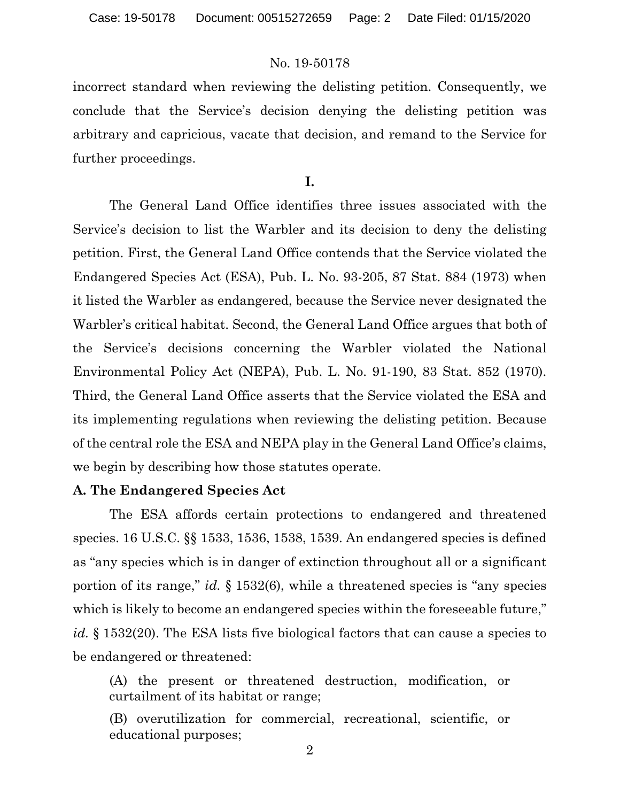incorrect standard when reviewing the delisting petition. Consequently, we conclude that the Service's decision denying the delisting petition was arbitrary and capricious, vacate that decision, and remand to the Service for further proceedings.

**I.**

The General Land Office identifies three issues associated with the Service's decision to list the Warbler and its decision to deny the delisting petition. First, the General Land Office contends that the Service violated the Endangered Species Act (ESA), Pub. L. No. 93-205, 87 Stat. 884 (1973) when it listed the Warbler as endangered, because the Service never designated the Warbler's critical habitat. Second, the General Land Office argues that both of the Service's decisions concerning the Warbler violated the National Environmental Policy Act (NEPA), Pub. L. No. 91-190, 83 Stat. 852 (1970). Third, the General Land Office asserts that the Service violated the ESA and its implementing regulations when reviewing the delisting petition. Because of the central role the ESA and NEPA play in the General Land Office's claims, we begin by describing how those statutes operate.

### **A. The Endangered Species Act**

The ESA affords certain protections to endangered and threatened species. 16 U.S.C. §§ 1533, 1536, 1538, 1539. An endangered species is defined as "any species which is in danger of extinction throughout all or a significant portion of its range," *id.* § 1532(6), while a threatened species is "any species which is likely to become an endangered species within the foreseeable future," *id.* § 1532(20). The ESA lists five biological factors that can cause a species to be endangered or threatened:

(A) the present or threatened destruction, modification, or curtailment of its habitat or range;

(B) overutilization for commercial, recreational, scientific, or educational purposes;

2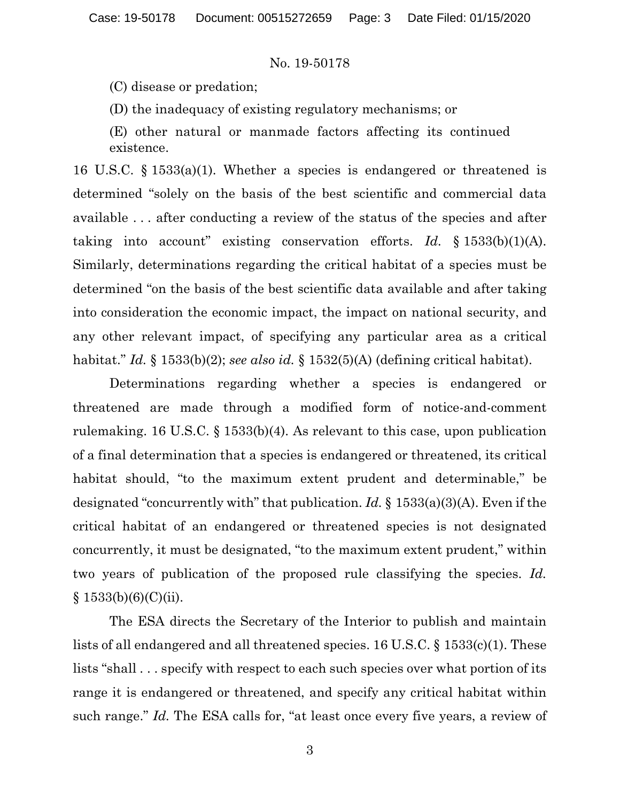(C) disease or predation;

(D) the inadequacy of existing regulatory mechanisms; or

(E) other natural or manmade factors affecting its continued existence.

16 U.S.C. § 1533(a)(1). Whether a species is endangered or threatened is determined "solely on the basis of the best scientific and commercial data available . . . after conducting a review of the status of the species and after taking into account" existing conservation efforts. *Id.* § 1533(b)(1)(A). Similarly, determinations regarding the critical habitat of a species must be determined "on the basis of the best scientific data available and after taking into consideration the economic impact, the impact on national security, and any other relevant impact, of specifying any particular area as a critical habitat." *Id.* § 1533(b)(2); *see also id.* § 1532(5)(A) (defining critical habitat).

Determinations regarding whether a species is endangered or threatened are made through a modified form of notice-and-comment rulemaking. 16 U.S.C. § 1533(b)(4). As relevant to this case, upon publication of a final determination that a species is endangered or threatened, its critical habitat should, "to the maximum extent prudent and determinable," be designated "concurrently with" that publication. *Id.* § 1533(a)(3)(A). Even if the critical habitat of an endangered or threatened species is not designated concurrently, it must be designated, "to the maximum extent prudent," within two years of publication of the proposed rule classifying the species. *Id.*  $§ 1533(b)(6)(C)(ii).$ 

The ESA directs the Secretary of the Interior to publish and maintain lists of all endangered and all threatened species. 16 U.S.C. § 1533(c)(1). These lists "shall . . . specify with respect to each such species over what portion of its range it is endangered or threatened, and specify any critical habitat within such range." *Id.* The ESA calls for, "at least once every five years, a review of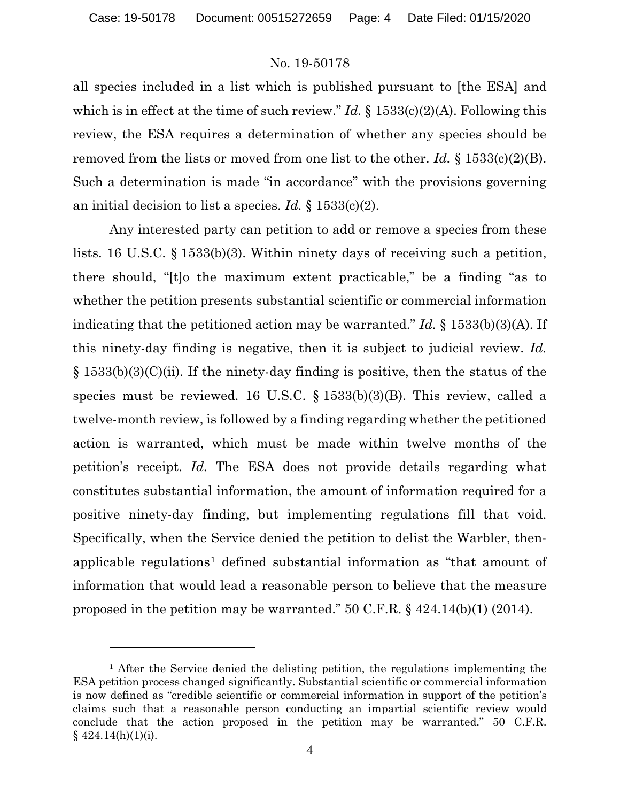$\overline{a}$ 

### No. 19-50178

all species included in a list which is published pursuant to [the ESA] and which is in effect at the time of such review." *Id.* § 1533(c)(2)(A). Following this review, the ESA requires a determination of whether any species should be removed from the lists or moved from one list to the other. *Id.* § 1533(c)(2)(B). Such a determination is made "in accordance" with the provisions governing an initial decision to list a species. *Id.* § 1533(c)(2).

Any interested party can petition to add or remove a species from these lists. 16 U.S.C. § 1533(b)(3). Within ninety days of receiving such a petition, there should, "[t]o the maximum extent practicable," be a finding "as to whether the petition presents substantial scientific or commercial information indicating that the petitioned action may be warranted." *Id.* § 1533(b)(3)(A). If this ninety-day finding is negative, then it is subject to judicial review. *Id.*  $\S 1533(b)(3)(C)(ii)$ . If the ninety-day finding is positive, then the status of the species must be reviewed. 16 U.S.C.  $\S$  1533(b)(3)(B). This review, called a twelve-month review, is followed by a finding regarding whether the petitioned action is warranted, which must be made within twelve months of the petition's receipt. *Id.* The ESA does not provide details regarding what constitutes substantial information, the amount of information required for a positive ninety-day finding, but implementing regulations fill that void. Specifically, when the Service denied the petition to delist the Warbler, then-applicable regulations<sup>[1](#page-3-0)</sup> defined substantial information as "that amount of information that would lead a reasonable person to believe that the measure proposed in the petition may be warranted." 50 C.F.R. § 424.14(b)(1) (2014).

<span id="page-3-0"></span><sup>&</sup>lt;sup>1</sup> After the Service denied the delisting petition, the regulations implementing the ESA petition process changed significantly. Substantial scientific or commercial information is now defined as "credible scientific or commercial information in support of the petition's claims such that a reasonable person conducting an impartial scientific review would conclude that the action proposed in the petition may be warranted." 50 C.F.R.  $§$  424.14(h)(1)(i).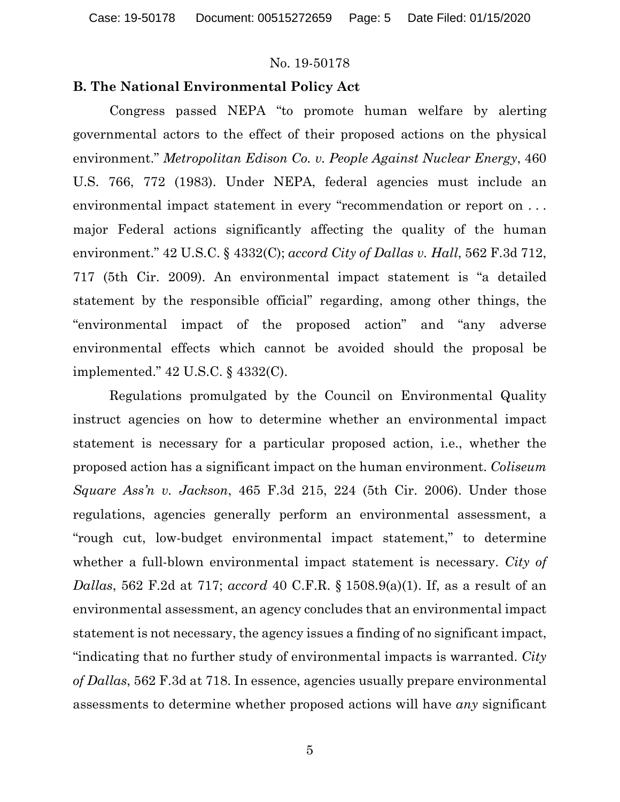### **B. The National Environmental Policy Act**

Congress passed NEPA "to promote human welfare by alerting governmental actors to the effect of their proposed actions on the physical environment." *Metropolitan Edison Co. v. People Against Nuclear Energy*, 460 U.S. 766, 772 (1983). Under NEPA, federal agencies must include an environmental impact statement in every "recommendation or report on . . . major Federal actions significantly affecting the quality of the human environment." 42 U.S.C. § 4332(C); *accord City of Dallas v. Hall*, 562 F.3d 712, 717 (5th Cir. 2009). An environmental impact statement is "a detailed statement by the responsible official" regarding, among other things, the "environmental impact of the proposed action" and "any adverse environmental effects which cannot be avoided should the proposal be implemented." 42 U.S.C. § 4332(C).

Regulations promulgated by the Council on Environmental Quality instruct agencies on how to determine whether an environmental impact statement is necessary for a particular proposed action, i.e., whether the proposed action has a significant impact on the human environment. *Coliseum Square Ass'n v. Jackson*, 465 F.3d 215, 224 (5th Cir. 2006). Under those regulations, agencies generally perform an environmental assessment, a "rough cut, low-budget environmental impact statement," to determine whether a full-blown environmental impact statement is necessary. *City of Dallas*, 562 F.2d at 717; *accord* 40 C.F.R. § 1508.9(a)(1). If, as a result of an environmental assessment, an agency concludes that an environmental impact statement is not necessary, the agency issues a finding of no significant impact, "indicating that no further study of environmental impacts is warranted. *City of Dallas*, 562 F.3d at 718. In essence, agencies usually prepare environmental assessments to determine whether proposed actions will have *any* significant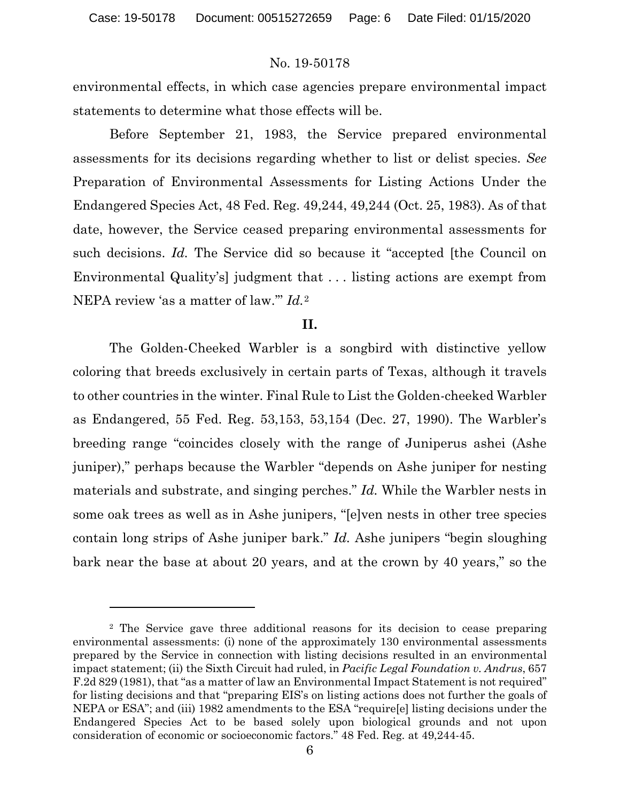environmental effects, in which case agencies prepare environmental impact statements to determine what those effects will be.

Before September 21, 1983, the Service prepared environmental assessments for its decisions regarding whether to list or delist species. *See*  Preparation of Environmental Assessments for Listing Actions Under the Endangered Species Act, 48 Fed. Reg. 49,244, 49,244 (Oct. 25, 1983). As of that date, however, the Service ceased preparing environmental assessments for such decisions. *Id.* The Service did so because it "accepted [the Council on Environmental Quality's] judgment that . . . listing actions are exempt from NEPA review 'as a matter of law.'" *Id.*[2](#page-5-0)

#### **II.**

The Golden-Cheeked Warbler is a songbird with distinctive yellow coloring that breeds exclusively in certain parts of Texas, although it travels to other countries in the winter. Final Rule to List the Golden-cheeked Warbler as Endangered, 55 Fed. Reg. 53,153, 53,154 (Dec. 27, 1990). The Warbler's breeding range "coincides closely with the range of Juniperus ashei (Ashe juniper)," perhaps because the Warbler "depends on Ashe juniper for nesting materials and substrate, and singing perches." *Id.* While the Warbler nests in some oak trees as well as in Ashe junipers, "[e]ven nests in other tree species contain long strips of Ashe juniper bark." *Id.* Ashe junipers "begin sloughing bark near the base at about 20 years, and at the crown by 40 years," so the

l

<span id="page-5-0"></span><sup>2</sup> The Service gave three additional reasons for its decision to cease preparing environmental assessments: (i) none of the approximately 130 environmental assessments prepared by the Service in connection with listing decisions resulted in an environmental impact statement; (ii) the Sixth Circuit had ruled, in *Pacific Legal Foundation v. Andrus*, 657 F.2d 829 (1981), that "as a matter of law an Environmental Impact Statement is not required" for listing decisions and that "preparing EIS's on listing actions does not further the goals of NEPA or ESA"; and (iii) 1982 amendments to the ESA "require[e] listing decisions under the Endangered Species Act to be based solely upon biological grounds and not upon consideration of economic or socioeconomic factors." 48 Fed. Reg. at 49,244-45.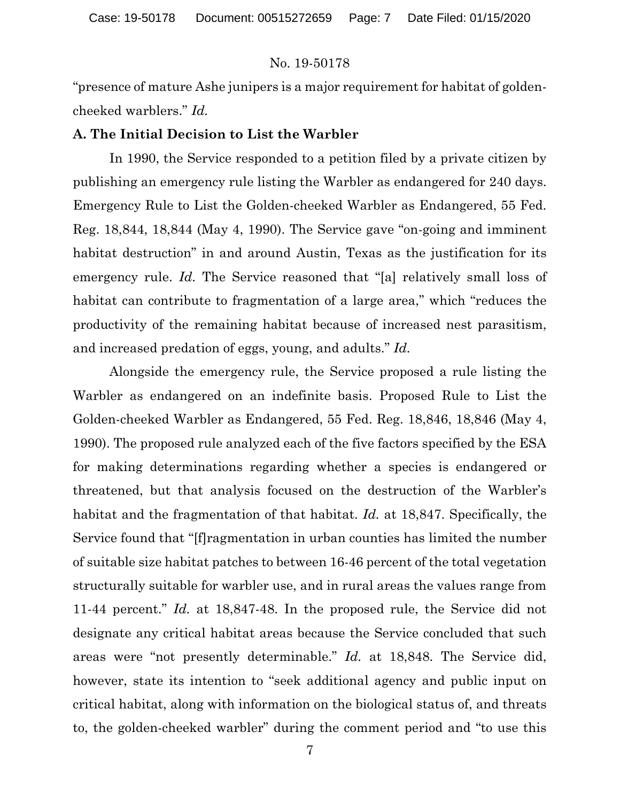"presence of mature Ashe junipers is a major requirement for habitat of goldencheeked warblers." *Id.*

### **A. The Initial Decision to List the Warbler**

In 1990, the Service responded to a petition filed by a private citizen by publishing an emergency rule listing the Warbler as endangered for 240 days. Emergency Rule to List the Golden-cheeked Warbler as Endangered, 55 Fed. Reg. 18,844, 18,844 (May 4, 1990). The Service gave "on-going and imminent habitat destruction" in and around Austin, Texas as the justification for its emergency rule. *Id.* The Service reasoned that "[a] relatively small loss of habitat can contribute to fragmentation of a large area," which "reduces the productivity of the remaining habitat because of increased nest parasitism, and increased predation of eggs, young, and adults." *Id.* 

Alongside the emergency rule, the Service proposed a rule listing the Warbler as endangered on an indefinite basis. Proposed Rule to List the Golden-cheeked Warbler as Endangered, 55 Fed. Reg. 18,846, 18,846 (May 4, 1990). The proposed rule analyzed each of the five factors specified by the ESA for making determinations regarding whether a species is endangered or threatened, but that analysis focused on the destruction of the Warbler's habitat and the fragmentation of that habitat. *Id.* at 18,847. Specifically, the Service found that "[f]ragmentation in urban counties has limited the number of suitable size habitat patches to between 16-46 percent of the total vegetation structurally suitable for warbler use, and in rural areas the values range from 11-44 percent." *Id.* at 18,847-48. In the proposed rule, the Service did not designate any critical habitat areas because the Service concluded that such areas were "not presently determinable." *Id.* at 18,848. The Service did, however, state its intention to "seek additional agency and public input on critical habitat, along with information on the biological status of, and threats to, the golden-cheeked warbler" during the comment period and "to use this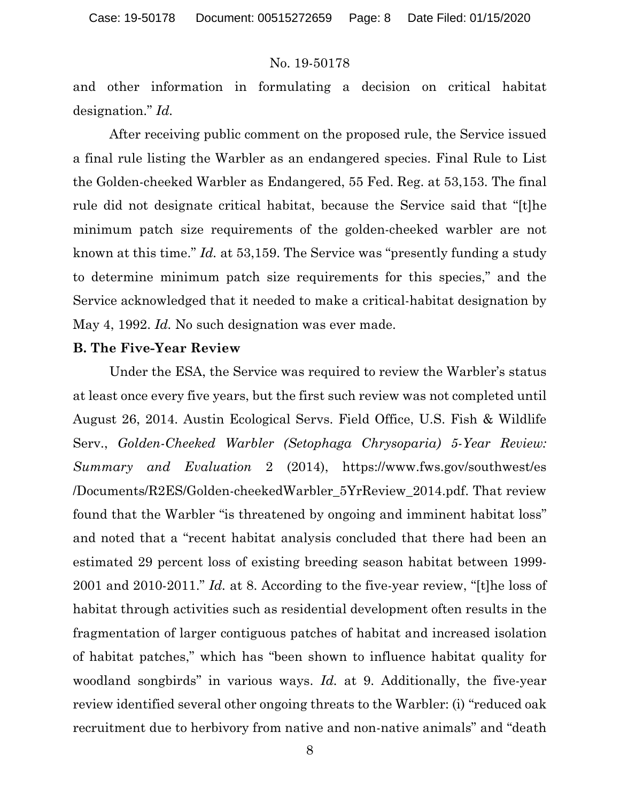and other information in formulating a decision on critical habitat designation." *Id.*

After receiving public comment on the proposed rule, the Service issued a final rule listing the Warbler as an endangered species. Final Rule to List the Golden-cheeked Warbler as Endangered, 55 Fed. Reg. at 53,153. The final rule did not designate critical habitat, because the Service said that "[t]he minimum patch size requirements of the golden-cheeked warbler are not known at this time." *Id.* at 53,159. The Service was "presently funding a study to determine minimum patch size requirements for this species," and the Service acknowledged that it needed to make a critical-habitat designation by May 4, 1992. *Id.* No such designation was ever made.

### **B. The Five-Year Review**

Under the ESA, the Service was required to review the Warbler's status at least once every five years, but the first such review was not completed until August 26, 2014. Austin Ecological Servs. Field Office, U.S. Fish & Wildlife Serv., *Golden-Cheeked Warbler (Setophaga Chrysoparia) 5-Year Review: Summary and Evaluation* 2 (2014), https://www.fws.gov/southwest/es /Documents/R2ES/Golden-cheekedWarbler\_5YrReview\_2014.pdf. That review found that the Warbler "is threatened by ongoing and imminent habitat loss" and noted that a "recent habitat analysis concluded that there had been an estimated 29 percent loss of existing breeding season habitat between 1999- 2001 and 2010-2011." *Id.* at 8. According to the five-year review, "[t]he loss of habitat through activities such as residential development often results in the fragmentation of larger contiguous patches of habitat and increased isolation of habitat patches," which has "been shown to influence habitat quality for woodland songbirds" in various ways. *Id.* at 9. Additionally, the five-year review identified several other ongoing threats to the Warbler: (i) "reduced oak recruitment due to herbivory from native and non-native animals" and "death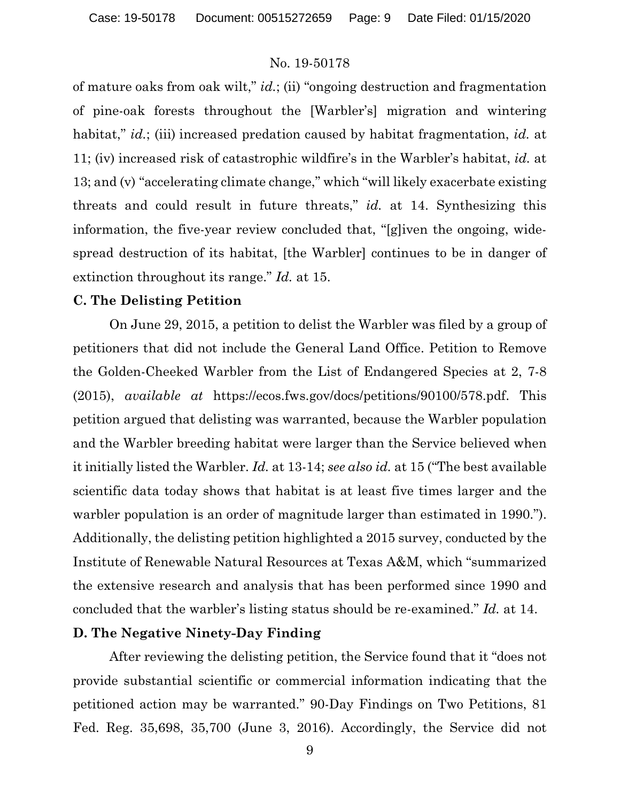of mature oaks from oak wilt," *id.*; (ii) "ongoing destruction and fragmentation of pine-oak forests throughout the [Warbler's] migration and wintering habitat," *id.*; (iii) increased predation caused by habitat fragmentation, *id.* at 11; (iv) increased risk of catastrophic wildfire's in the Warbler's habitat, *id.* at 13; and (v) "accelerating climate change," which "will likely exacerbate existing threats and could result in future threats," *id.* at 14. Synthesizing this information, the five-year review concluded that, "[g]iven the ongoing, widespread destruction of its habitat, [the Warbler] continues to be in danger of extinction throughout its range." *Id.* at 15.

### **C. The Delisting Petition**

On June 29, 2015, a petition to delist the Warbler was filed by a group of petitioners that did not include the General Land Office. Petition to Remove the Golden-Cheeked Warbler from the List of Endangered Species at 2, 7-8 (2015), *available at* https://ecos.fws.gov/docs/petitions/90100/578.pdf. This petition argued that delisting was warranted, because the Warbler population and the Warbler breeding habitat were larger than the Service believed when it initially listed the Warbler. *Id.* at 13-14; *see also id.* at 15 ("The best available scientific data today shows that habitat is at least five times larger and the warbler population is an order of magnitude larger than estimated in 1990."). Additionally, the delisting petition highlighted a 2015 survey, conducted by the Institute of Renewable Natural Resources at Texas A&M, which "summarized the extensive research and analysis that has been performed since 1990 and concluded that the warbler's listing status should be re-examined." *Id.* at 14.

### **D. The Negative Ninety-Day Finding**

After reviewing the delisting petition, the Service found that it "does not provide substantial scientific or commercial information indicating that the petitioned action may be warranted." 90-Day Findings on Two Petitions, 81 Fed. Reg. 35,698, 35,700 (June 3, 2016). Accordingly, the Service did not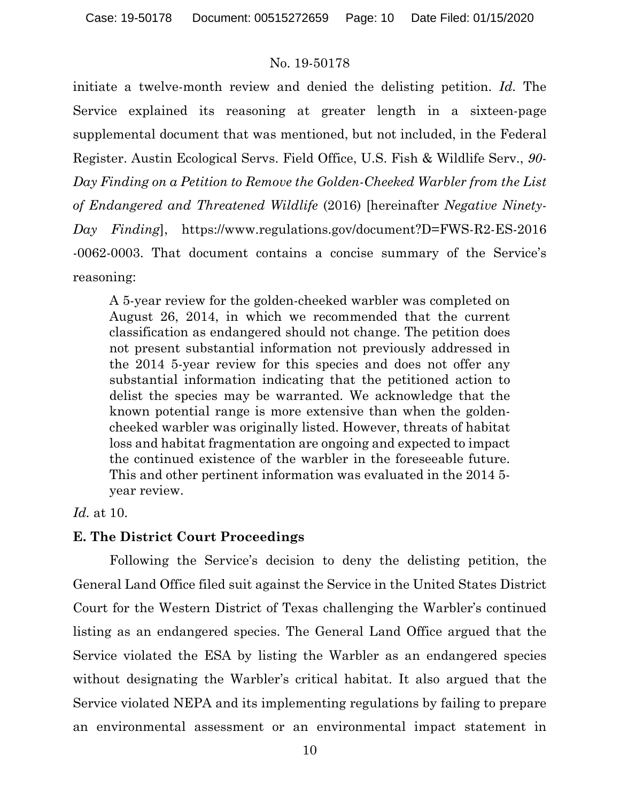initiate a twelve-month review and denied the delisting petition. *Id.* The Service explained its reasoning at greater length in a sixteen-page supplemental document that was mentioned, but not included, in the Federal Register. Austin Ecological Servs. Field Office, U.S. Fish & Wildlife Serv., *90- Day Finding on a Petition to Remove the Golden-Cheeked Warbler from the List of Endangered and Threatened Wildlife* (2016) [hereinafter *Negative Ninety-Day Finding*], https://www.regulations.gov/document?D=FWS-R2-ES-2016 -0062-0003. That document contains a concise summary of the Service's reasoning:

A 5-year review for the golden-cheeked warbler was completed on August 26, 2014, in which we recommended that the current classification as endangered should not change. The petition does not present substantial information not previously addressed in the 2014 5-year review for this species and does not offer any substantial information indicating that the petitioned action to delist the species may be warranted. We acknowledge that the known potential range is more extensive than when the goldencheeked warbler was originally listed. However, threats of habitat loss and habitat fragmentation are ongoing and expected to impact the continued existence of the warbler in the foreseeable future. This and other pertinent information was evaluated in the 2014 5 year review.

### *Id.* at 10.

### **E. The District Court Proceedings**

Following the Service's decision to deny the delisting petition, the General Land Office filed suit against the Service in the United States District Court for the Western District of Texas challenging the Warbler's continued listing as an endangered species. The General Land Office argued that the Service violated the ESA by listing the Warbler as an endangered species without designating the Warbler's critical habitat. It also argued that the Service violated NEPA and its implementing regulations by failing to prepare an environmental assessment or an environmental impact statement in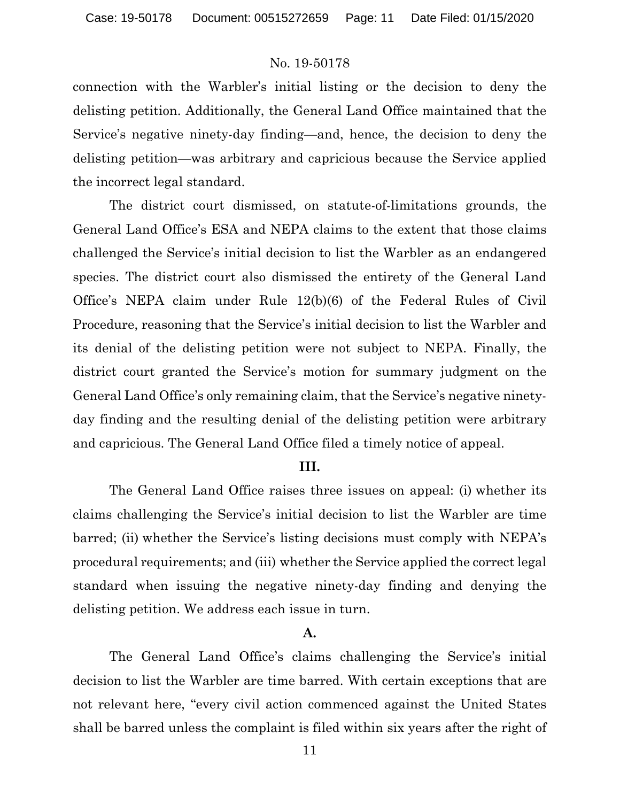connection with the Warbler's initial listing or the decision to deny the delisting petition. Additionally, the General Land Office maintained that the Service's negative ninety-day finding—and, hence, the decision to deny the delisting petition—was arbitrary and capricious because the Service applied the incorrect legal standard.

The district court dismissed, on statute-of-limitations grounds, the General Land Office's ESA and NEPA claims to the extent that those claims challenged the Service's initial decision to list the Warbler as an endangered species. The district court also dismissed the entirety of the General Land Office's NEPA claim under Rule 12(b)(6) of the Federal Rules of Civil Procedure, reasoning that the Service's initial decision to list the Warbler and its denial of the delisting petition were not subject to NEPA. Finally, the district court granted the Service's motion for summary judgment on the General Land Office's only remaining claim, that the Service's negative ninetyday finding and the resulting denial of the delisting petition were arbitrary and capricious. The General Land Office filed a timely notice of appeal.

### **III.**

The General Land Office raises three issues on appeal: (i) whether its claims challenging the Service's initial decision to list the Warbler are time barred; (ii) whether the Service's listing decisions must comply with NEPA's procedural requirements; and (iii) whether the Service applied the correct legal standard when issuing the negative ninety-day finding and denying the delisting petition. We address each issue in turn.

### **A.**

The General Land Office's claims challenging the Service's initial decision to list the Warbler are time barred. With certain exceptions that are not relevant here, "every civil action commenced against the United States shall be barred unless the complaint is filed within six years after the right of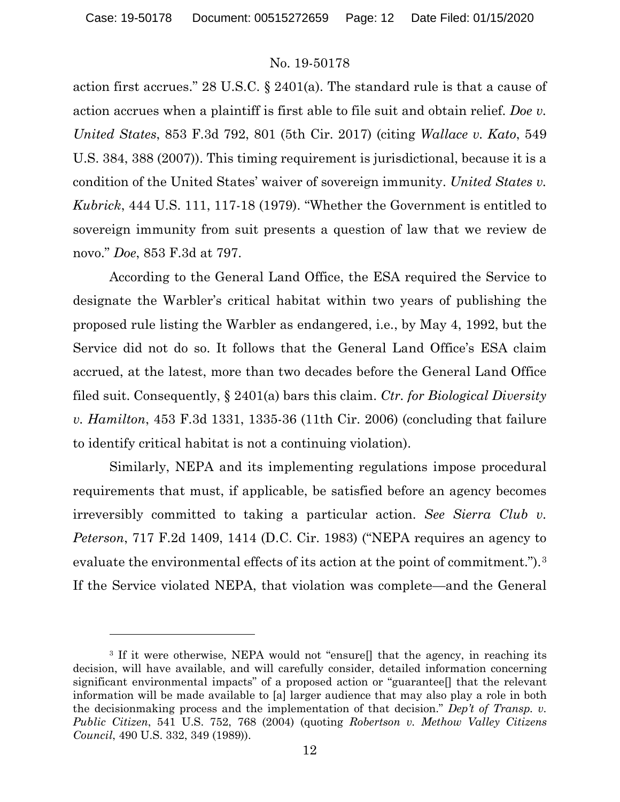action first accrues." 28 U.S.C. § 2401(a). The standard rule is that a cause of action accrues when a plaintiff is first able to file suit and obtain relief. *Doe v. United States*, 853 F.3d 792, 801 (5th Cir. 2017) (citing *Wallace v. Kato*, 549 U.S. 384, 388 (2007)). This timing requirement is jurisdictional, because it is a condition of the United States' waiver of sovereign immunity. *United States v. Kubrick*, 444 U.S. 111, 117-18 (1979). "Whether the Government is entitled to sovereign immunity from suit presents a question of law that we review de novo." *Doe*, 853 F.3d at 797.

According to the General Land Office, the ESA required the Service to designate the Warbler's critical habitat within two years of publishing the proposed rule listing the Warbler as endangered, i.e., by May 4, 1992, but the Service did not do so. It follows that the General Land Office's ESA claim accrued, at the latest, more than two decades before the General Land Office filed suit. Consequently, § 2401(a) bars this claim. *Ctr. for Biological Diversity v. Hamilton*, 453 F.3d 1331, 1335-36 (11th Cir. 2006) (concluding that failure to identify critical habitat is not a continuing violation).

Similarly, NEPA and its implementing regulations impose procedural requirements that must, if applicable, be satisfied before an agency becomes irreversibly committed to taking a particular action. *See Sierra Club v. Peterson*, 717 F.2d 1409, 1414 (D.C. Cir. 1983) ("NEPA requires an agency to evaluate the environmental effects of its action at the point of commitment.").<sup>[3](#page-11-0)</sup> If the Service violated NEPA, that violation was complete—and the General

 $\overline{a}$ 

<span id="page-11-0"></span><sup>&</sup>lt;sup>3</sup> If it were otherwise, NEPA would not "ensure<sup>[]</sup> that the agency, in reaching its decision, will have available, and will carefully consider, detailed information concerning significant environmental impacts" of a proposed action or "guarantee[] that the relevant information will be made available to [a] larger audience that may also play a role in both the decisionmaking process and the implementation of that decision." *Dep't of Transp. v. Public Citizen*, 541 U.S. 752, 768 (2004) (quoting *Robertson v. Methow Valley Citizens Council*, 490 U.S. 332, 349 (1989)).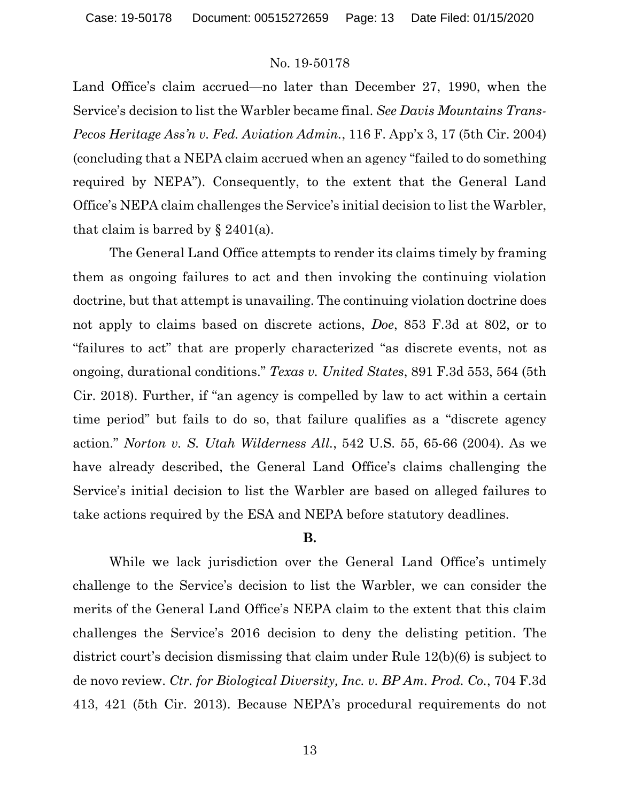Land Office's claim accrued—no later than December 27, 1990, when the Service's decision to list the Warbler became final. *See Davis Mountains Trans-Pecos Heritage Ass'n v. Fed. Aviation Admin.*, 116 F. App'x 3, 17 (5th Cir. 2004) (concluding that a NEPA claim accrued when an agency "failed to do something required by NEPA"). Consequently, to the extent that the General Land Office's NEPA claim challenges the Service's initial decision to list the Warbler, that claim is barred by  $\S 2401(a)$ .

The General Land Office attempts to render its claims timely by framing them as ongoing failures to act and then invoking the continuing violation doctrine, but that attempt is unavailing. The continuing violation doctrine does not apply to claims based on discrete actions, *Doe*, 853 F.3d at 802, or to "failures to act" that are properly characterized "as discrete events, not as ongoing, durational conditions." *Texas v. United States*, 891 F.3d 553, 564 (5th Cir. 2018). Further, if "an agency is compelled by law to act within a certain time period" but fails to do so, that failure qualifies as a "discrete agency action." *Norton v. S. Utah Wilderness All.*, 542 U.S. 55, 65-66 (2004). As we have already described, the General Land Office's claims challenging the Service's initial decision to list the Warbler are based on alleged failures to take actions required by the ESA and NEPA before statutory deadlines.

### **B.**

While we lack jurisdiction over the General Land Office's untimely challenge to the Service's decision to list the Warbler, we can consider the merits of the General Land Office's NEPA claim to the extent that this claim challenges the Service's 2016 decision to deny the delisting petition. The district court's decision dismissing that claim under Rule 12(b)(6) is subject to de novo review. *Ctr. for Biological Diversity, Inc. v. BP Am. Prod. Co.*, 704 F.3d 413, 421 (5th Cir. 2013). Because NEPA's procedural requirements do not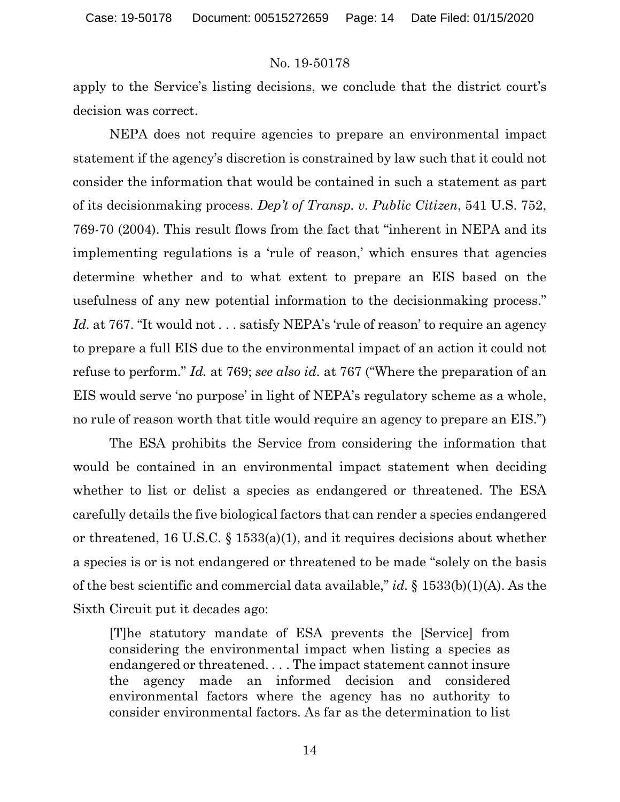apply to the Service's listing decisions, we conclude that the district court's decision was correct.

NEPA does not require agencies to prepare an environmental impact statement if the agency's discretion is constrained by law such that it could not consider the information that would be contained in such a statement as part of its decisionmaking process. *Dep't of Transp. v. Public Citizen*, 541 U.S. 752, 769-70 (2004). This result flows from the fact that "inherent in NEPA and its implementing regulations is a 'rule of reason,' which ensures that agencies determine whether and to what extent to prepare an EIS based on the usefulness of any new potential information to the decisionmaking process." Id. at 767. "It would not . . . satisfy NEPA's 'rule of reason' to require an agency to prepare a full EIS due to the environmental impact of an action it could not refuse to perform." *Id.* at 769; *see also id.* at 767 ("Where the preparation of an EIS would serve 'no purpose' in light of NEPA's regulatory scheme as a whole, no rule of reason worth that title would require an agency to prepare an EIS.")

The ESA prohibits the Service from considering the information that would be contained in an environmental impact statement when deciding whether to list or delist a species as endangered or threatened. The ESA carefully details the five biological factors that can render a species endangered or threatened, 16 U.S.C. § 1533(a)(1), and it requires decisions about whether a species is or is not endangered or threatened to be made "solely on the basis of the best scientific and commercial data available," *id.* § 1533(b)(1)(A). As the Sixth Circuit put it decades ago:

[T]he statutory mandate of ESA prevents the [Service] from considering the environmental impact when listing a species as endangered or threatened. . . . The impact statement cannot insure the agency made an informed decision and considered environmental factors where the agency has no authority to consider environmental factors. As far as the determination to list

14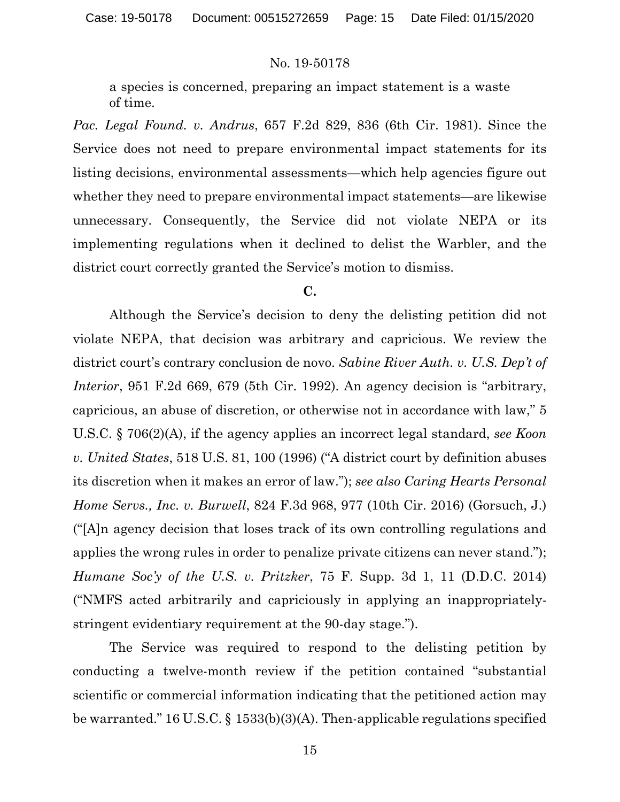a species is concerned, preparing an impact statement is a waste of time.

*Pac. Legal Found. v. Andrus*, 657 F.2d 829, 836 (6th Cir. 1981). Since the Service does not need to prepare environmental impact statements for its listing decisions, environmental assessments—which help agencies figure out whether they need to prepare environmental impact statements—are likewise unnecessary. Consequently, the Service did not violate NEPA or its implementing regulations when it declined to delist the Warbler, and the district court correctly granted the Service's motion to dismiss.

### **C.**

Although the Service's decision to deny the delisting petition did not violate NEPA, that decision was arbitrary and capricious. We review the district court's contrary conclusion de novo. *Sabine River Auth. v. U.S. Dep't of Interior*, 951 F.2d 669, 679 (5th Cir. 1992). An agency decision is "arbitrary, capricious, an abuse of discretion, or otherwise not in accordance with law," 5 U.S.C. § 706(2)(A), if the agency applies an incorrect legal standard, *see Koon v. United States*, 518 U.S. 81, 100 (1996) ("A district court by definition abuses its discretion when it makes an error of law."); *see also Caring Hearts Personal Home Servs., Inc. v. Burwell*, 824 F.3d 968, 977 (10th Cir. 2016) (Gorsuch, J.) ("[A]n agency decision that loses track of its own controlling regulations and applies the wrong rules in order to penalize private citizens can never stand."); *Humane Soc'y of the U.S. v. Pritzker*, 75 F. Supp. 3d 1, 11 (D.D.C. 2014) ("NMFS acted arbitrarily and capriciously in applying an inappropriatelystringent evidentiary requirement at the 90-day stage.").

The Service was required to respond to the delisting petition by conducting a twelve-month review if the petition contained "substantial scientific or commercial information indicating that the petitioned action may be warranted." 16 U.S.C. § 1533(b)(3)(A). Then-applicable regulations specified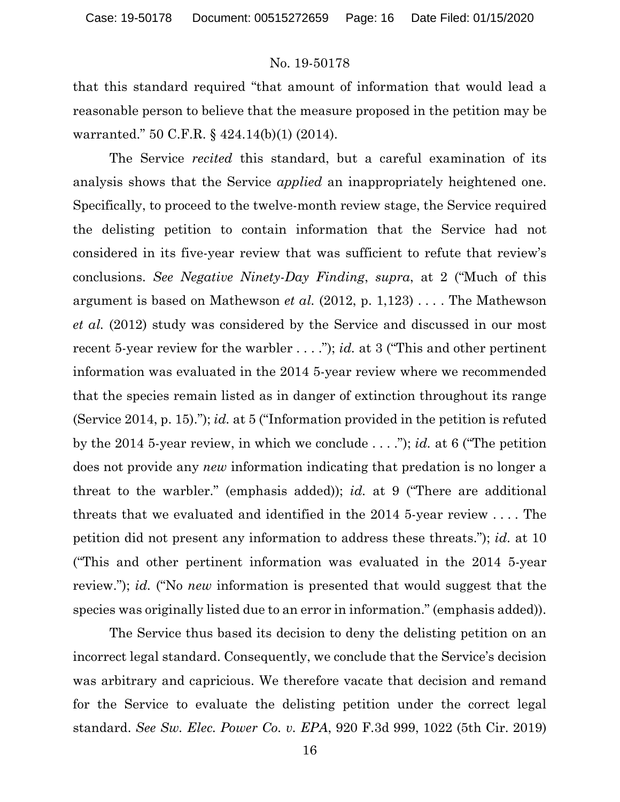that this standard required "that amount of information that would lead a reasonable person to believe that the measure proposed in the petition may be warranted." 50 C.F.R. § 424.14(b)(1) (2014).

The Service *recited* this standard, but a careful examination of its analysis shows that the Service *applied* an inappropriately heightened one. Specifically, to proceed to the twelve-month review stage, the Service required the delisting petition to contain information that the Service had not considered in its five-year review that was sufficient to refute that review's conclusions. *See Negative Ninety-Day Finding*, *supra*, at 2 ("Much of this argument is based on Mathewson *et al.* (2012, p. 1,123) . . . . The Mathewson *et al.* (2012) study was considered by the Service and discussed in our most recent 5-year review for the warbler . . . ."); *id.* at 3 ("This and other pertinent information was evaluated in the 2014 5-year review where we recommended that the species remain listed as in danger of extinction throughout its range (Service 2014, p. 15)."); *id.* at 5 ("Information provided in the petition is refuted by the 2014 5-year review, in which we conclude . . . ."); *id.* at 6 ("The petition does not provide any *new* information indicating that predation is no longer a threat to the warbler." (emphasis added)); *id.* at 9 ("There are additional threats that we evaluated and identified in the 2014 5-year review . . . . The petition did not present any information to address these threats."); *id.* at 10 ("This and other pertinent information was evaluated in the 2014 5-year review."); *id.* ("No *new* information is presented that would suggest that the species was originally listed due to an error in information." (emphasis added)).

The Service thus based its decision to deny the delisting petition on an incorrect legal standard. Consequently, we conclude that the Service's decision was arbitrary and capricious. We therefore vacate that decision and remand for the Service to evaluate the delisting petition under the correct legal standard. *See Sw. Elec. Power Co. v. EPA*, 920 F.3d 999, 1022 (5th Cir. 2019)